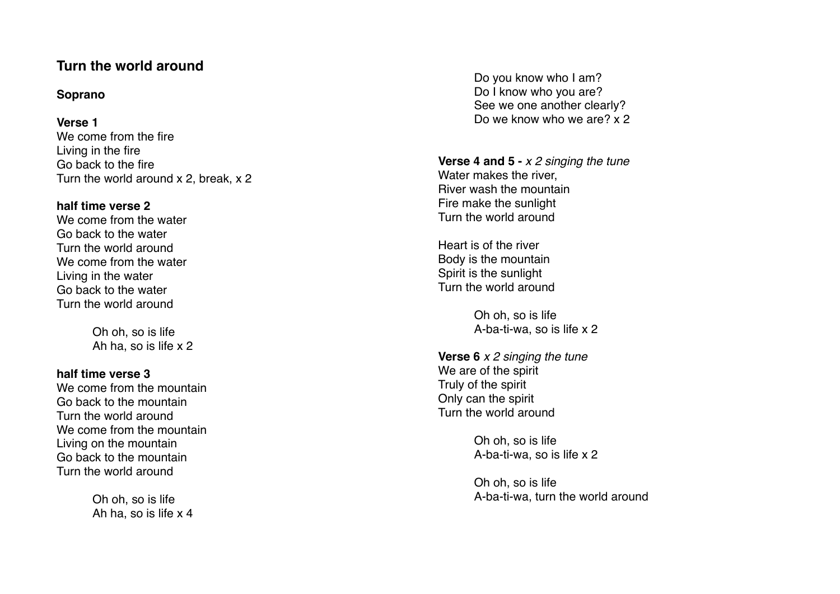#### **Soprano**

#### **Verse 1**

We come from the fire Living in the fire Go back to the fire Turn the world around x 2, break, x 2

## **half time verse 2**

We come from the water Go back to the water Turn the world around We come from the water Living in the water Go back to the water Turn the world around

> Oh oh, so is life Ah ha, so is life x 2

### **half time verse 3**

We come from the mountain Go back to the mountain Turn the world around We come from the mountain Living on the mountain Go back to the mountain Turn the world around

> Oh oh, so is life Ah ha, so is life x 4

Do you know who I am? Do I know who you are? See we one another clearly? Do we know who we are? x 2

**Verse 4 and 5 -** *x 2 singing the tune* Water makes the river, River wash the mountain Fire make the sunlight Turn the world around

Heart is of the river Body is the mountain Spirit is the sunlight Turn the world around

> Oh oh, so is life A-ba-ti-wa, so is life x 2

**Verse 6** *x 2 singing the tune* We are of the spirit Truly of the spirit Only can the spirit Turn the world around

> Oh oh, so is life A-ba-ti-wa, so is life x 2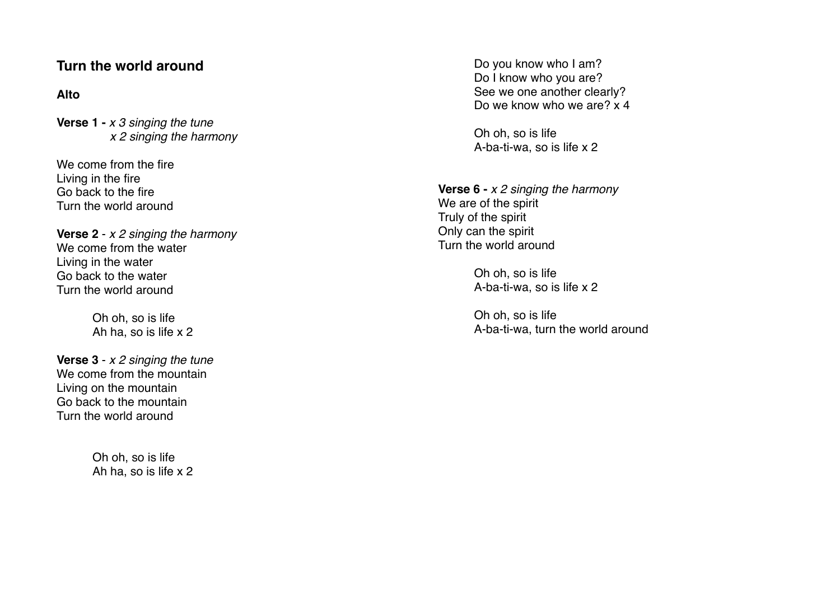## **Alto**

**Verse 1 -** *x 3 singing the tune x 2 singing the harmony*

We come from the fire Living in the fire Go back to the fire Turn the world around

**Verse 2**  - *x 2 singing the harmony* We come from the water Living in the water Go back to the water Turn the world around

> Oh oh, so is life Ah ha, so is life x 2

**Verse 3** - *x 2 singing the tune* We come from the mountain Living on the mountain Go back to the mountain Turn the world around

> Oh oh, so is life Ah ha, so is life x 2

Do you know who I am? Do I know who you are? See we one another clearly? Do we know who we are? x 4

Oh oh, so is life A-ba-ti-wa, so is life x 2

**Verse 6 -** *x 2 singing the harmony* We are of the spirit Truly of the spirit Only can the spirit Turn the world around

> Oh oh, so is life A-ba-ti-wa, so is life x 2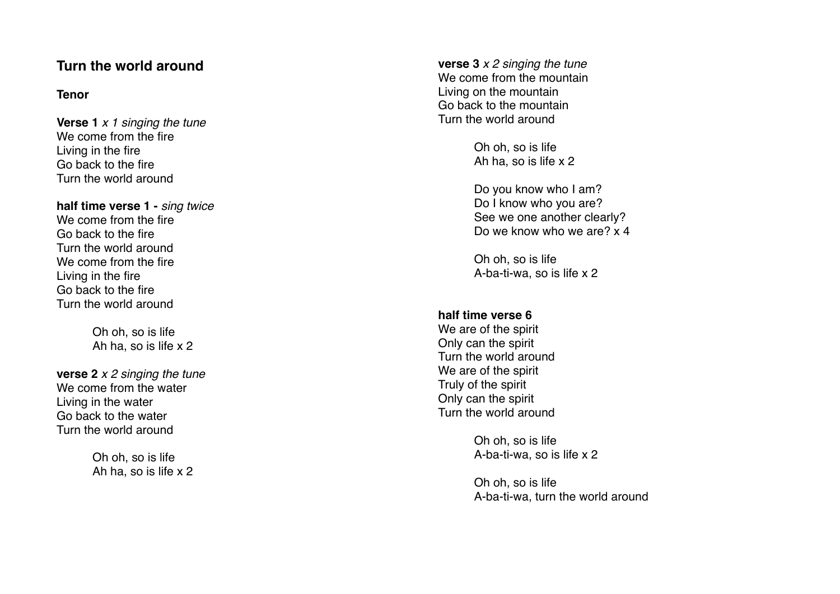#### **Tenor**

**Verse 1** *x 1 singing the tune* We come from the fire Living in the fire Go back to the fire Turn the world around

**half time verse 1 -** *sing twice* We come from the fire Go back to the fire Turn the world around We come from the fire Living in the fire Go back to the fire Turn the world around

> Oh oh, so is life Ah ha, so is life x 2

**verse 2** *x 2 singing the tune* We come from the water Living in the water Go back to the water Turn the world around

> Oh oh, so is life Ah ha, so is life x 2

**verse 3** *x 2 singing the tune* We come from the mountain Living on the mountain Go back to the mountain Turn the world around

> Oh oh, so is life Ah ha, so is life x 2

Do you know who I am? Do I know who you are? See we one another clearly? Do we know who we are? x 4

Oh oh, so is life A-ba-ti-wa, so is life x 2

### **half time verse 6**

We are of the spirit Only can the spirit Turn the world around We are of the spirit Truly of the spirit Only can the spirit Turn the world around

> Oh oh, so is life A-ba-ti-wa, so is life x 2